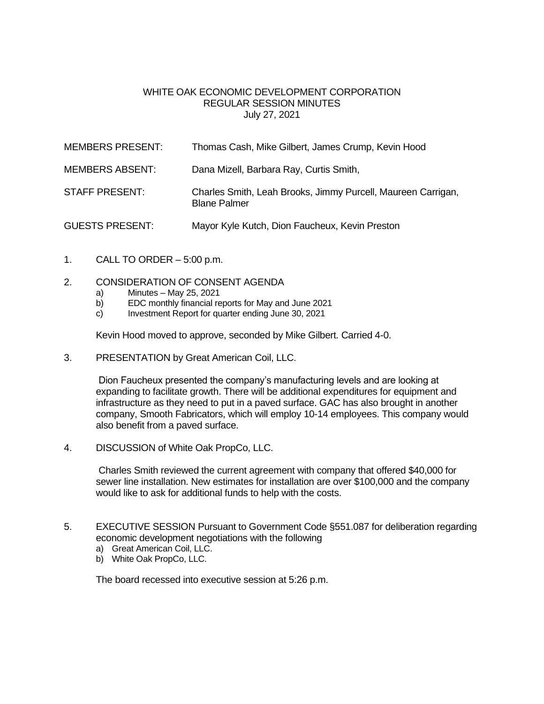## WHITE OAK ECONOMIC DEVELOPMENT CORPORATION REGULAR SESSION MINUTES July 27, 2021

| <b>MEMBERS PRESENT:</b> | Thomas Cash, Mike Gilbert, James Crump, Kevin Hood                                  |
|-------------------------|-------------------------------------------------------------------------------------|
| <b>MEMBERS ABSENT:</b>  | Dana Mizell, Barbara Ray, Curtis Smith,                                             |
| <b>STAFF PRESENT:</b>   | Charles Smith, Leah Brooks, Jimmy Purcell, Maureen Carrigan,<br><b>Blane Palmer</b> |
| <b>GUESTS PRESENT:</b>  | Mayor Kyle Kutch, Dion Faucheux, Kevin Preston                                      |

- 1. CALL TO ORDER  $-5:00$  p.m.
- 2. CONSIDERATION OF CONSENT AGENDA
	- a) Minutes May 25, 2021
	- b) EDC monthly financial reports for May and June 2021
	- c) Investment Report for quarter ending June 30, 2021

Kevin Hood moved to approve, seconded by Mike Gilbert. Carried 4-0.

3. PRESENTATION by Great American Coil, LLC.

Dion Faucheux presented the company's manufacturing levels and are looking at expanding to facilitate growth. There will be additional expenditures for equipment and infrastructure as they need to put in a paved surface. GAC has also brought in another company, Smooth Fabricators, which will employ 10-14 employees. This company would also benefit from a paved surface.

4. DISCUSSION of White Oak PropCo, LLC.

Charles Smith reviewed the current agreement with company that offered \$40,000 for sewer line installation. New estimates for installation are over \$100,000 and the company would like to ask for additional funds to help with the costs.

- 5. EXECUTIVE SESSION Pursuant to Government Code §551.087 for deliberation regarding economic development negotiations with the following
	- a) Great American Coil, LLC.
	- b) White Oak PropCo, LLC.

The board recessed into executive session at 5:26 p.m.